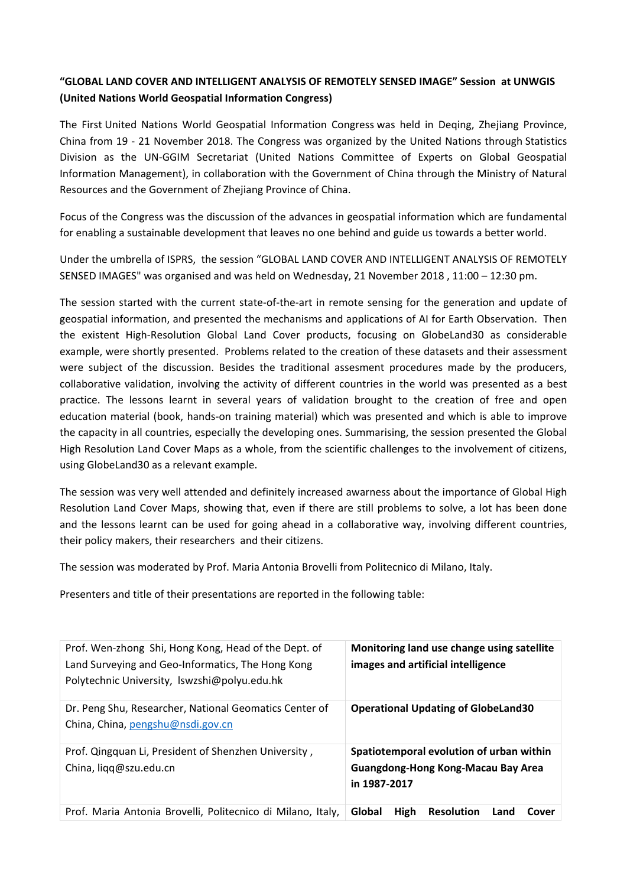## **"GLOBAL LAND COVER AND INTELLIGENT ANALYSIS OF REMOTELY SENSED IMAGE" Session at UNWGIS (United Nations World Geospatial Information Congress)**

The First [United Nations World Geospatial Information Congress](https://www.unwgic2018.org/) was held in Deqing, Zhejiang Province, China from 19 - 21 November 2018. The Congress was organized by the United Nations through Statistics Division as the UN-GGIM Secretariat (United Nations Committee of Experts on Global Geospatial Information Management), in collaboration with the Government of China through the Ministry of Natural Resources and the Government of Zhejiang Province of China.

Focus of the Congress was the discussion of the advances in geospatial information which are fundamental for enabling a sustainable development that leaves no one behind and guide us towards a better world.

Under the umbrella of ISPRS, the session "GLOBAL LAND COVER AND INTELLIGENT ANALYSIS OF REMOTELY SENSED IMAGES" was organised and was held on Wednesday, 21 November 2018 , 11:00 – 12:30 pm.

The session started with the current state-of-the-art in remote sensing for the generation and update of geospatial information, and presented the mechanisms and applications of AI for Earth Observation. Then the existent High-Resolution Global Land Cover products, focusing on GlobeLand30 as considerable example, were shortly presented. Problems related to the creation of these datasets and their assessment were subject of the discussion. Besides the traditional assesment procedures made by the producers, collaborative validation, involving the activity of different countries in the world was presented as a best practice. The lessons learnt in several years of validation brought to the creation of free and open education material (book, hands-on training material) which was presented and which is able to improve the capacity in all countries, especially the developing ones. Summarising, the session presented the Global High Resolution Land Cover Maps as a whole, from the scientific challenges to the involvement of citizens, using GlobeLand30 as a relevant example.

The session was very well attended and definitely increased awarness about the importance of Global High Resolution Land Cover Maps, showing that, even if there are still problems to solve, a lot has been done and the lessons learnt can be used for going ahead in a collaborative way, involving different countries, their policy makers, their researchers and their citizens.

The session was moderated by Prof. Maria Antonia Brovelli from Politecnico di Milano, Italy.

Presenters and title of their presentations are reported in the following table:

| Prof. Wen-zhong Shi, Hong Kong, Head of the Dept. of<br>Land Surveying and Geo-Informatics, The Hong Kong<br>Polytechnic University, Iswzshi@polyu.edu.hk | Monitoring land use change using satellite<br>images and artificial intelligence                      |
|-----------------------------------------------------------------------------------------------------------------------------------------------------------|-------------------------------------------------------------------------------------------------------|
| Dr. Peng Shu, Researcher, National Geomatics Center of<br>China, China, pengshu@nsdi.gov.cn                                                               | <b>Operational Updating of GlobeLand30</b>                                                            |
| Prof. Qingquan Li, President of Shenzhen University,<br>China, liqq@szu.edu.cn                                                                            | Spatiotemporal evolution of urban within<br><b>Guangdong-Hong Kong-Macau Bay Area</b><br>in 1987-2017 |
| Prof. Maria Antonia Brovelli, Politecnico di Milano, Italy,                                                                                               | Global<br><b>High</b><br><b>Resolution</b><br>Land<br>Cover                                           |